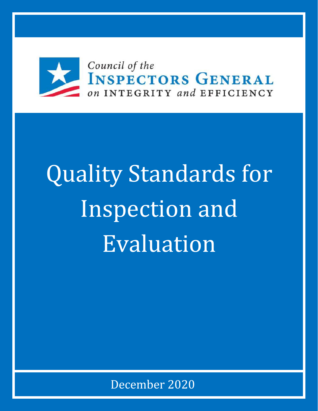

# Quality Standards for Inspection and Evaluation

December 2020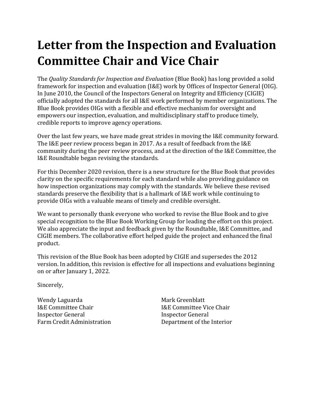# **Letter from the Inspection and Evaluation Committee Chair and Vice Chair**

The *Quality Standards for Inspection and Evaluation* (Blue Book) has long provided a solid framework for inspection and evaluation (I&E) work by Offices of Inspector General (OIG). In June 2010, the Council of the Inspectors General on Integrity and Efficiency (CIGIE) officially adopted the standards for all I&E work performed by member organizations. The Blue Book provides OIGs with a flexible and effective mechanism for oversight and empowers our inspection, evaluation, and multidisciplinary staff to produce timely, credible reports to improve agency operations.

Over the last few years, we have made great strides in moving the I&E community forward. The I&E peer review process began in 2017. As a result of feedback from the I&E community during the peer review process, and at the direction of the I&E Committee, the I&E Roundtable began revising the standards.

For this December 2020 revision, there is a new structure for the Blue Book that provides clarity on the specific requirements for each standard while also providing guidance on how inspection organizations may comply with the standards. We believe these revised standards preserve the flexibility that is a hallmark of I&E work while continuing to provide OIGs with a valuable means of timely and credible oversight.

We want to personally thank everyone who worked to revise the Blue Book and to give special recognition to the Blue Book Working Group for leading the effort on this project. We also appreciate the input and feedback given by the Roundtable, I&E Committee, and CIGIE members. The collaborative effort helped guide the project and enhanced the final product.

This revision of the Blue Book has been adopted by CIGIE and supersedes the 2012 version. In addition, this revision is effective for all inspections and evaluations beginning on or after January 1, 2022.

Sincerely,

Wendy Laguarda<br>
I&E Committee Chair<br>
I&E Committee Chair Inspector General<br>Farm Credit Administration

I&E Committee Vice Chair<br>Inspector General Department of the Interior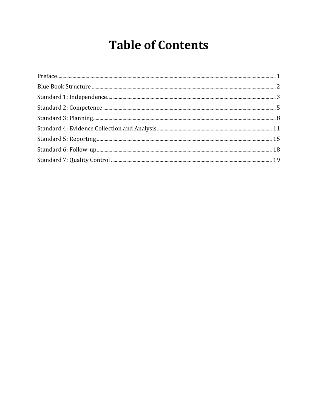### **Table of Contents**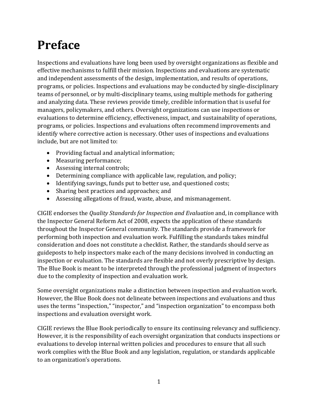# <span id="page-3-0"></span>**Preface**

Inspections and evaluations have long been used by oversight organizations as flexible and effective mechanisms to fulfill their mission. Inspections and evaluations are systematic and independent assessments of the design, implementation, and results of operations, programs, or policies. Inspections and evaluations may be conducted by single-disciplinary teams of personnel, or by multi-disciplinary teams, using multiple methods for gathering and analyzing data. These reviews provide timely, credible information that is useful for managers, policymakers, and others. Oversight organizations can use inspections or evaluations to determine efficiency, effectiveness, impact, and sustainability of operations, programs, or policies. Inspections and evaluations often recommend improvements and identify where corrective action is necessary. Other uses of inspections and evaluations include, but are not limited to:

- Providing factual and analytical information;
- Measuring performance;
- Assessing internal controls;
- Determining compliance with applicable law, regulation, and policy;
- Identifying savings, funds put to better use, and questioned costs;
- Sharing best practices and approaches; and
- Assessing allegations of fraud, waste, abuse, and mismanagement.

CIGIE endorses the *Quality Standards for Inspection and Evaluation* and, in compliance with the Inspector General Reform Act of 2008, expects the application of these standards throughout the Inspector General community. The standards provide a framework for performing both inspection and evaluation work. Fulfilling the standards takes mindful consideration and does not constitute a checklist. Rather, the standards should serve as guideposts to help inspectors make each of the many decisions involved in conducting an inspection or evaluation. The standards are flexible and not overly prescriptive by design. The Blue Book is meant to be interpreted through the professional judgment of inspectors due to the complexity of inspection and evaluation work.

Some oversight organizations make a distinction between inspection and evaluation work. However, the Blue Book does not delineate between inspections and evaluations and thus uses the terms "inspection," "inspector," and "inspection organization" to encompass both inspections and evaluation oversight work.

CIGIE reviews the Blue Book periodically to ensure its continuing relevancy and sufficiency. However, it is the responsibility of each oversight organization that conducts inspections or evaluations to develop internal written policies and procedures to ensure that all such work complies with the Blue Book and any legislation, regulation, or standards applicable to an organization's operations.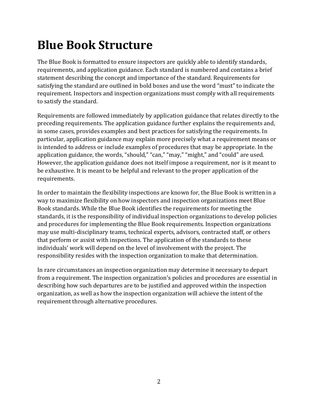### <span id="page-4-0"></span>**Blue Book Structure**

The Blue Book is formatted to ensure inspectors are quickly able to identify standards, requirements, and application guidance. Each standard is numbered and contains a brief statement describing the concept and importance of the standard. Requirements for satisfying the standard are outlined in bold boxes and use the word "must" to indicate the requirement. Inspectors and inspection organizations must comply with all requirements to satisfy the standard.

Requirements are followed immediately by application guidance that relates directly to the preceding requirements. The application guidance further explains the requirements and, in some cases, provides examples and best practices for satisfying the requirements. In particular, application guidance may explain more precisely what a requirement means or is intended to address or include examples of procedures that may be appropriate. In the application guidance, the words, "should," "can," "may," "might," and "could" are used. However, the application guidance does not itself impose a requirement, nor is it meant to be exhaustive. It is meant to be helpful and relevant to the proper application of the requirements.

In order to maintain the flexibility inspections are known for, the Blue Book is written in a way to maximize flexibility on how inspectors and inspection organizations meet Blue Book standards. While the Blue Book identifies the requirements for meeting the standards, it is the responsibility of individual inspection organizations to develop policies and procedures for implementing the Blue Book requirements. Inspection organizations may use multi-disciplinary teams, technical experts, advisors, contracted staff, or others that perform or assist with inspections. The application of the standards to these individuals' work will depend on the level of involvement with the project. The responsibility resides with the inspection organization to make that determination.

In rare circumstances an inspection organization may determine it necessary to depart from a requirement. The inspection organization's policies and procedures are essential in describing how such departures are to be justified and approved within the inspection organization, as well as how the inspection organization will achieve the intent of the requirement through alternative procedures.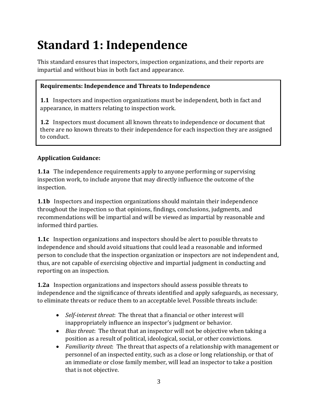# <span id="page-5-0"></span>**Standard 1: Independence**

This standard ensures that inspectors, inspection organizations, and their reports are impartial and without bias in both fact and appearance.

#### **Requirements: Independence and Threats to Independence**

**1.1** Inspectors and inspection organizations must be independent, both in fact and appearance, in matters relating to inspection work.

**1.2** Inspectors must document all known threats to independence or document that there are no known threats to their independence for each inspection they are assigned to conduct.

#### **Application Guidance:**

**1.1a** The independence requirements apply to anyone performing or supervising inspection work, to include anyone that may directly influence the outcome of the inspection.

**1.1b** Inspectors and inspection organizations should maintain their independence throughout the inspection so that opinions, findings, conclusions, judgments, and recommendations will be impartial and will be viewed as impartial by reasonable and informed third parties.

**1.1c** Inspection organizations and inspectors should be alert to possible threats to independence and should avoid situations that could lead a reasonable and informed person to conclude that the inspection organization or inspectors are not independent and, thus, are not capable of exercising objective and impartial judgment in conducting and reporting on an inspection.

**1.2a** Inspection organizations and inspectors should assess possible threats to independence and the significance of threats identified and apply safeguards, as necessary, to eliminate threats or reduce them to an acceptable level. Possible threats include:

- *Self-interest threat*: The threat that a financial or other interest will inappropriately influence an inspector's judgment or behavior.
- *Bias threat*: The threat that an inspector will not be objective when taking a position as a result of political, ideological, social, or other convictions.
- *Familiarity threat*: The threat that aspects of a relationship with management or personnel of an inspected entity, such as a close or long relationship, or that of an immediate or close family member, will lead an inspector to take a position that is not objective.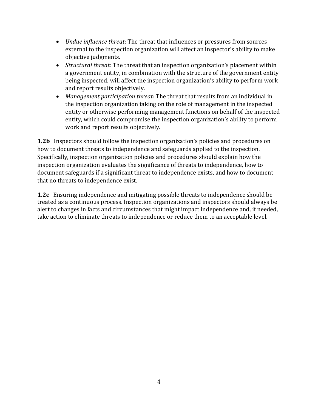- *Undue influence threat*: The threat that influences or pressures from sources external to the inspection organization will affect an inspector's ability to make objective judgments.
- *Structural threat:* The threat that an inspection organization's placement within a government entity, in combination with the structure of the government entity being inspected, will affect the inspection organization's ability to perform work and report results objectively.
- *Management participation threat*: The threat that results from an individual in the inspection organization taking on the role of management in the inspected entity or otherwise performing management functions on behalf of the inspected entity, which could compromise the inspection organization's ability to perform work and report results objectively.

**1.2b** Inspectors should follow the inspection organization's policies and procedures on how to document threats to independence and safeguards applied to the inspection. Specifically, inspection organization policies and procedures should explain how the inspection organization evaluates the significance of threats to independence, how to document safeguards if a significant threat to independence exists, and how to document that no threats to independence exist.

**1.2c** Ensuring independence and mitigating possible threats to independence should be treated as a continuous process. Inspection organizations and inspectors should always be alert to changes in facts and circumstances that might impact independence and, if needed, take action to eliminate threats to independence or reduce them to an acceptable level.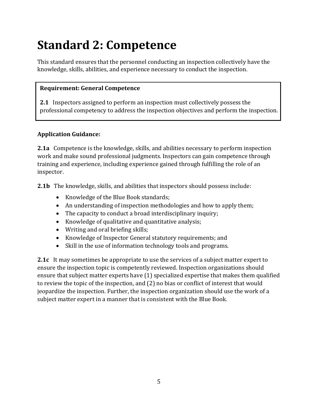## <span id="page-7-0"></span>**Standard 2: Competence**

This standard ensures that the personnel conducting an inspection collectively have the knowledge, skills, abilities, and experience necessary to conduct the inspection.

#### **Requirement: General Competence**

**2.1** Inspectors assigned to perform an inspection must collectively possess the professional competency to address the inspection objectives and perform the inspection.

#### **Application Guidance:**

**2.1a** Competence is the knowledge, skills, and abilities necessary to perform inspection work and make sound professional judgments. Inspectors can gain competence through training and experience, including experience gained through fulfilling the role of an inspector.

**2.1b** The knowledge, skills, and abilities that inspectors should possess include:

- Knowledge of the Blue Book standards;
- An understanding of inspection methodologies and how to apply them;
- The capacity to conduct a broad interdisciplinary inquiry;
- Knowledge of qualitative and quantitative analysis;
- Writing and oral briefing skills;
- Knowledge of Inspector General statutory requirements; and
- Skill in the use of information technology tools and programs.

**2.1c** It may sometimes be appropriate to use the services of a subject matter expert to ensure the inspection topic is competently reviewed. Inspection organizations should ensure that subject matter experts have (1) specialized expertise that makes them qualified to review the topic of the inspection, and (2) no bias or conflict of interest that would jeopardize the inspection. Further, the inspection organization should use the work of a subject matter expert in a manner that is consistent with the Blue Book.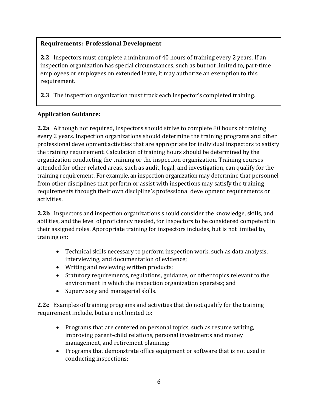#### **Requirements: Professional Development**

**2.2** Inspectors must complete a minimum of 40 hours of training every 2 years. If an inspection organization has special circumstances, such as but not limited to, part-time employees or employees on extended leave, it may authorize an exemption to this requirement.

**2.3** The inspection organization must track each inspector's completed training.

#### **Application Guidance:**

**2.2a** Although not required, inspectors should strive to complete 80 hours of training every 2 years. Inspection organizations should determine the training programs and other professional development activities that are appropriate for individual inspectors to satisfy the training requirement. Calculation of training hours should be determined by the organization conducting the training or the inspection organization. Training courses attended for other related areas, such as audit, legal, and investigation, can qualify for the training requirement. For example, an inspection organization may determine that personnel from other disciplines that perform or assist with inspections may satisfy the training requirements through their own discipline's professional development requirements or activities.

**2.2b** Inspectors and inspection organizations should consider the knowledge, skills, and abilities, and the level of proficiency needed, for inspectors to be considered competent in their assigned roles. Appropriate training for inspectors includes, but is not limited to, training on:

- Technical skills necessary to perform inspection work, such as data analysis, interviewing, and documentation of evidence;
- Writing and reviewing written products;
- Statutory requirements, regulations, guidance, or other topics relevant to the environment in which the inspection organization operates; and
- Supervisory and managerial skills.

**2.2c** Examples of training programs and activities that do not qualify for the training requirement include, but are not limited to:

- Programs that are centered on personal topics, such as resume writing, improving parent-child relations, personal investments and money management, and retirement planning;
- Programs that demonstrate office equipment or software that is not used in conducting inspections;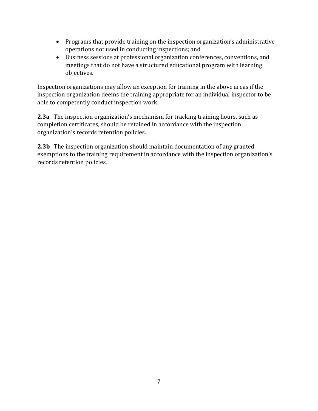- Programs that provide training on the inspection organization's administrative operations not used in conducting inspections; and
- Business sessions at professional organization conferences, conventions, and meetings that do not have a structured educational program with learning objectives.

Inspection organizations may allow an exception for training in the above areas if the inspection organization deems the training appropriate for an individual inspector to be able to competently conduct inspection work.

**2.3a** The inspection organization's mechanism for tracking training hours, such as completion certificates, should be retained in accordance with the inspection organization's records retention policies.

**2.3b** The inspection organization should maintain documentation of any granted exemptions to the training requirement in accordance with the inspection organization's records retention policies.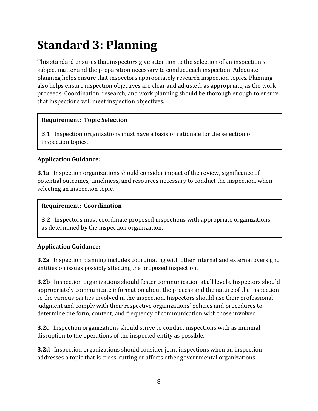# <span id="page-10-0"></span>**Standard 3: Planning**

This standard ensures that inspectors give attention to the selection of an inspection's subject matter and the preparation necessary to conduct each inspection. Adequate planning helps ensure that inspectors appropriately research inspection topics. Planning also helps ensure inspection objectives are clear and adjusted, as appropriate, as the work proceeds. Coordination, research, and work planning should be thorough enough to ensure that inspections will meet inspection objectives.

#### **Requirement: Topic Selection**

**3.1** Inspection organizations must have a basis or rationale for the selection of inspection topics.

#### **Application Guidance:**

**3.1a** Inspection organizations should consider impact of the review, significance of potential outcomes, timeliness, and resources necessary to conduct the inspection, when selecting an inspection topic.

#### **Requirement: Coordination**

**3.2** Inspectors must coordinate proposed inspections with appropriate organizations as determined by the inspection organization.

#### **Application Guidance:**

**3.2a** Inspection planning includes coordinating with other internal and external oversight entities on issues possibly affecting the proposed inspection.

**3.2b** Inspection organizations should foster communication at all levels. Inspectors should appropriately communicate information about the process and the nature of the inspection to the various parties involved in the inspection. Inspectors should use their professional judgment and comply with their respective organizations' policies and procedures to determine the form, content, and frequency of communication with those involved.

**3.2c** Inspection organizations should strive to conduct inspections with as minimal disruption to the operations of the inspected entity as possible.

**3.2d** Inspection organizations should consider joint inspections when an inspection addresses a topic that is cross-cutting or affects other governmental organizations.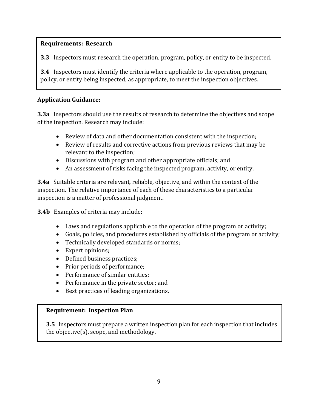#### **Requirements: Research**

**3.3** Inspectors must research the operation, program, policy, or entity to be inspected.

**3.4** Inspectors must identify the criteria where applicable to the operation, program, policy, or entity being inspected, as appropriate, to meet the inspection objectives.

#### **Application Guidance:**

**3.3a** Inspectors should use the results of research to determine the objectives and scope of the inspection. Research may include:

- Review of data and other documentation consistent with the inspection;
- Review of results and corrective actions from previous reviews that may be relevant to the inspection;
- Discussions with program and other appropriate officials; and
- An assessment of risks facing the inspected program, activity, or entity.

**3.4a** Suitable criteria are relevant, reliable, objective, and within the context of the inspection. The relative importance of each of these characteristics to a particular inspection is a matter of professional judgment.

**3.4b** Examples of criteria may include:

- Laws and regulations applicable to the operation of the program or activity;
- Goals, policies, and procedures established by officials of the program or activity;
- Technically developed standards or norms;
- Expert opinions;
- Defined business practices;
- Prior periods of performance;
- Performance of similar entities;
- Performance in the private sector; and
- Best practices of leading organizations.

#### **Requirement: Inspection Plan**

**3.5** Inspectors must prepare a written inspection plan for each inspection that includes the objective(s), scope, and methodology.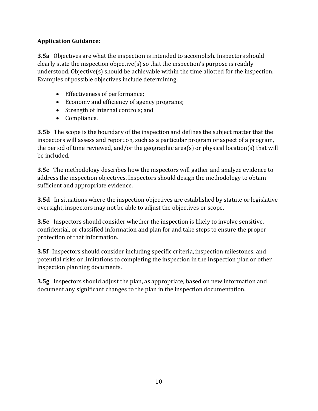#### **Application Guidance:**

**3.5a** Objectives are what the inspection is intended to accomplish. Inspectors should clearly state the inspection objective(s) so that the inspection's purpose is readily understood. Objective(s) should be achievable within the time allotted for the inspection. Examples of possible objectives include determining:

- Effectiveness of performance;
- Economy and efficiency of agency programs;
- Strength of internal controls; and
- Compliance.

**3.5b** The scope is the boundary of the inspection and defines the subject matter that the inspectors will assess and report on, such as a particular program or aspect of a program, the period of time reviewed, and/or the geographic area(s) or physical location(s) that will be included.

**3.5c** The methodology describes how the inspectors will gather and analyze evidence to address the inspection objectives. Inspectors should design the methodology to obtain sufficient and appropriate evidence.

**3.5d** In situations where the inspection objectives are established by statute or legislative oversight, inspectors may not be able to adjust the objectives or scope.

**3.5e** Inspectors should consider whether the inspection is likely to involve sensitive, confidential, or classified information and plan for and take steps to ensure the proper protection of that information.

**3.5f** Inspectors should consider including specific criteria, inspection milestones, and potential risks or limitations to completing the inspection in the inspection plan or other inspection planning documents.

**3.5g** Inspectors should adjust the plan, as appropriate, based on new information and document any significant changes to the plan in the inspection documentation.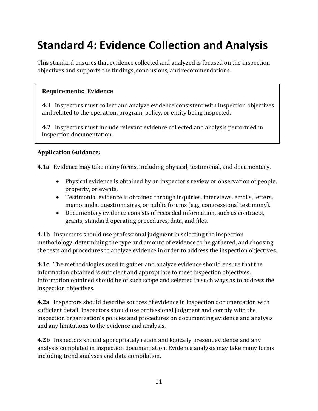### <span id="page-13-0"></span>**Standard 4: Evidence Collection and Analysis**

This standard ensures that evidence collected and analyzed is focused on the inspection objectives and supports the findings, conclusions, and recommendations.

#### **Requirements: Evidence Requirements: Evidence**

**4.1** Inspectors must collect and analyze evidence consistent with inspection **4.1** Inspectors must collect and analyze evidence consistent with inspection objectives and related to the operation, program, policy, or entity being inspected.

**4.2** Inspectors must include evidence collected and analysis performed in **4.2** Inspectors must include relevant evidence collected and analysis performed in inspection documentation. inspection documentation.

#### **Application Guidance:**

**4.1a** Evidence may take many forms, including physical, testimonial, and documentary.

- Physical evidence is obtained by an inspector's review or observation of people, property, or events.
- Testimonial evidence is obtained through inquiries, interviews, emails, letters, memoranda, questionnaires, or public forums (e.g., congressional testimony).
- Documentary evidence consists of recorded information, such as contracts, grants, standard operating procedures, data, and files.

**4.1b** Inspectors should use professional judgment in selecting the inspection methodology, determining the type and amount of evidence to be gathered, and choosing the tests and procedures to analyze evidence in order to address the inspection objectives.

**4.1c** The methodologies used to gather and analyze evidence should ensure that the information obtained is sufficient and appropriate to meet inspection objectives. Information obtained should be of such scope and selected in such ways as to address the inspection objectives.

**4.2a** Inspectors should describe sources of evidence in inspection documentation with sufficient detail. Inspectors should use professional judgment and comply with the inspection organization's policies and procedures on documenting evidence and analysis and any limitations to the evidence and analysis.

**4.2b** Inspectors should appropriately retain and logically present evidence and any analysis completed in inspection documentation. Evidence analysis may take many forms including trend analyses and data compilation.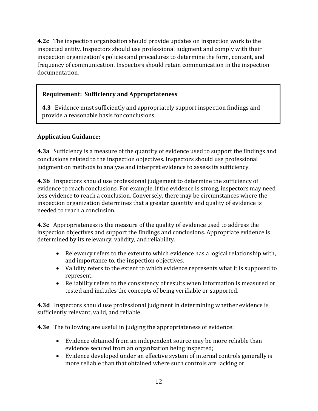**4.2c** The inspection organization should provide updates on inspection work to the inspected entity. Inspectors should use professional judgment and comply with their inspection organization's policies and procedures to determine the form, content, and frequency of communication. Inspectors should retain communication in the inspection documentation.

#### **Requirement: Sufficiency and Appropriateness**

**4.3** Evidence must sufficiently and appropriately support inspection findings and provide a reasonable basis for conclusions.

#### **Application Guidance:**

**4.3a** Sufficiency is a measure of the quantity of evidence used to support the findings and conclusions related to the inspection objectives. Inspectors should use professional judgment on methods to analyze and interpret evidence to assess its sufficiency.

**4.3b** Inspectors should use professional judgement to determine the sufficiency of evidence to reach conclusions. For example, if the evidence is strong, inspectors may need less evidence to reach a conclusion. Conversely, there may be circumstances where the inspection organization determines that a greater quantity and quality of evidence is needed to reach a conclusion.

**4.3c** Appropriateness is the measure of the quality of evidence used to address the inspection objectives and support the findings and conclusions. Appropriate evidence is determined by its relevancy, validity, and reliability.

- Relevancy refers to the extent to which evidence has a logical relationship with, and importance to, the inspection objectives.
- Validity refers to the extent to which evidence represents what it is supposed to represent.
- Reliability refers to the consistency of results when information is measured or tested and includes the concepts of being verifiable or supported.

**4.3d** Inspectors should use professional judgment in determining whether evidence is sufficiently relevant, valid, and reliable.

**4.3e** The following are useful in judging the appropriateness of evidence:

- Evidence obtained from an independent source may be more reliable than evidence secured from an organization being inspected;
- Evidence developed under an effective system of internal controls generally is more reliable than that obtained where such controls are lacking or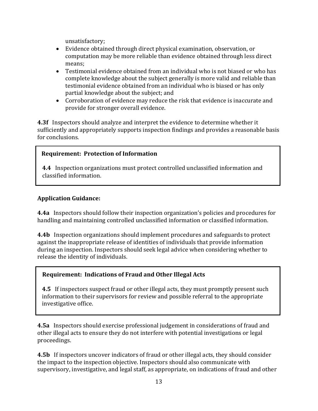unsatisfactory;

- Evidence obtained through direct physical examination, observation, or computation may be more reliable than evidence obtained through less direct means;
- Testimonial evidence obtained from an individual who is not biased or who has complete knowledge about the subject generally is more valid and reliable than testimonial evidence obtained from an individual who is biased or has only partial knowledge about the subject; and
- Corroboration of evidence may reduce the risk that evidence is inaccurate and provide for stronger overall evidence.

**4.3f** Inspectors should analyze and interpret the evidence to determine whether it sufficiently and appropriately supports inspection findings and provides a reasonable basis for conclusions.

#### **Requirement: Protection of Information**

**4.4** Inspection organizations must protect controlled unclassified information and classified information.

#### **Application Guidance:**

**4.4a** Inspectors should follow their inspection organization's policies and procedures for handling and maintaining controlled unclassified information or classified information.

**4.4b** Inspection organizations should implement procedures and safeguards to protect against the inappropriate release of identities of individuals that provide information during an inspection. Inspectors should seek legal advice when considering whether to release the identity of individuals.

#### **Requirement: Indications of Fraud and Other Illegal Acts**

**4.5** If inspectors suspect fraud or other illegal acts, they must promptly present such information to their supervisors for review and possible referral to the appropriate investigative office.

**4.5a** Inspectors should exercise professional judgement in considerations of fraud and other illegal acts to ensure they do not interfere with potential investigations or legal proceedings.

**4.5b** If inspectors uncover indicators of fraud or other illegal acts, they should consider the impact to the inspection objective. Inspectors should also communicate with supervisory, investigative, and legal staff, as appropriate, on indications of fraud and other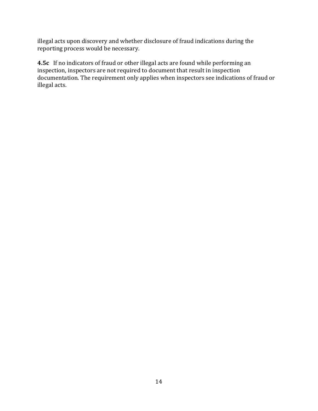illegal acts upon discovery and whether disclosure of fraud indications during the reporting process would be necessary.

**4.5c** If no indicators of fraud or other illegal acts are found while performing an inspection, inspectors are not required to document that result in inspection documentation. The requirement only applies when inspectors see indications of fraud or illegal acts.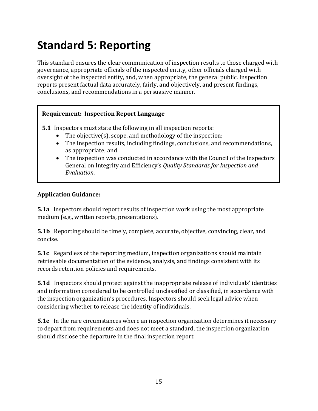### <span id="page-17-0"></span>**Standard 5: Reporting**

This standard ensures the clear communication of inspection results to those charged with governance, appropriate officials of the inspected entity, other officials charged with oversight of the inspected entity, and, when appropriate, the general public. Inspection reports present factual data accurately, fairly, and objectively, and present findings, conclusions, and recommendations in a persuasive manner.

#### **Requirement: Inspection Report Language**

**5.1** Inspectors must state the following in all inspection reports:

- The objective(s), scope, and methodology of the inspection;
- The inspection results, including findings, conclusions, and recommendations, as appropriate; and
- The inspection was conducted in accordance with the Council of the Inspectors General on Integrity and Efficiency's *Quality Standards for Inspection and Evaluation*.

#### **Application Guidance:**

**5.1a** Inspectors should report results of inspection work using the most appropriate medium (e.g., written reports, presentations).

**5.1b** Reporting should be timely, complete, accurate, objective, convincing, clear, and concise.

**5.1c** Regardless of the reporting medium, inspection organizations should maintain retrievable documentation of the evidence, analysis, and findings consistent with its records retention policies and requirements.

**5.1d** Inspectors should protect against the inappropriate release of individuals' identities and information considered to be controlled unclassified or classified, in accordance with the inspection organization's procedures. Inspectors should seek legal advice when considering whether to release the identity of individuals.

**5.1e** In the rare circumstances where an inspection organization determines it necessary to depart from requirements and does not meet a standard, the inspection organization should disclose the departure in the final inspection report.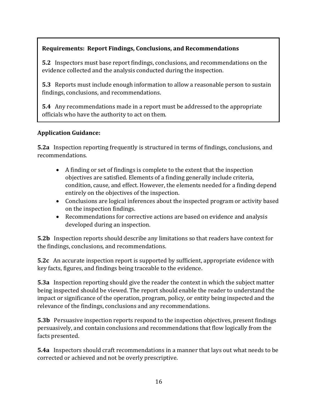#### **Requirements: Report Findings, Conclusions, and Recommendations**

**5.2** Inspectors must base report findings, conclusions, and recommendations on the evidence collected and the analysis conducted during the inspection.

**5.3** Reports must include enough information to allow a reasonable person to sustain findings, conclusions, and recommendations.

**5.4** Any recommendations made in a report must be addressed to the appropriate officials who have the authority to act on them.

#### **Application Guidance:**

**5.2a** Inspection reporting frequently is structured in terms of findings, conclusions, and recommendations.

- A finding or set of findings is complete to the extent that the inspection objectives are satisfied. Elements of a finding generally include criteria, condition, cause, and effect. However, the elements needed for a finding depend entirely on the objectives of the inspection.
- Conclusions are logical inferences about the inspected program or activity based on the inspection findings.
- Recommendations for corrective actions are based on evidence and analysis developed during an inspection.

**5.2b** Inspection reports should describe any limitations so that readers have context for the findings, conclusions, and recommendations.

**5.2c** An accurate inspection report is supported by sufficient, appropriate evidence with key facts, figures, and findings being traceable to the evidence.

**5.3a** Inspection reporting should give the reader the context in which the subject matter being inspected should be viewed. The report should enable the reader to understand the impact or significance of the operation, program, policy, or entity being inspected and the relevance of the findings, conclusions and any recommendations.

**5.3b** Persuasive inspection reports respond to the inspection objectives, present findings persuasively, and contain conclusions and recommendations that flow logically from the facts presented.

**5.4a** Inspectors should craft recommendations in a manner that lays out what needs to be corrected or achieved and not be overly prescriptive.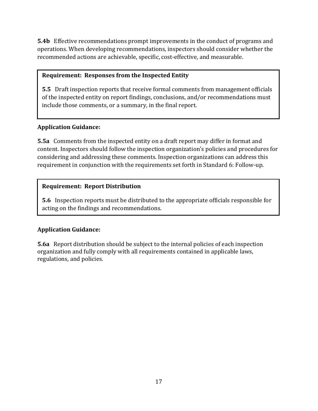**5.4b** Effective recommendations prompt improvements in the conduct of programs and operations. When developing recommendations, inspectors should consider whether the recommended actions are achievable, specific, cost-effective, and measurable.

#### **Requirement: Responses from the Inspected Entity**

**5.5** Draft inspection reports that receive formal comments from management officials of the inspected entity on report findings, conclusions, and/or recommendations must include those comments, or a summary, in the final report.

#### **Application Guidance:**

**5.5a** Comments from the inspected entity on a draft report may differ in format and content. Inspectors should follow the inspection organization's policies and procedures for considering and addressing these comments. Inspection organizations can address this requirement in conjunction with the requirements set forth in Standard 6: Follow-up.

#### **Requirement: Report Distribution**

**5.6** Inspection reports must be distributed to the appropriate officials responsible for acting on the findings and recommendations.

#### **Application Guidance:**

**5.6a** Report distribution should be subject to the internal policies of each inspection organization and fully comply with all requirements contained in applicable laws, regulations, and policies.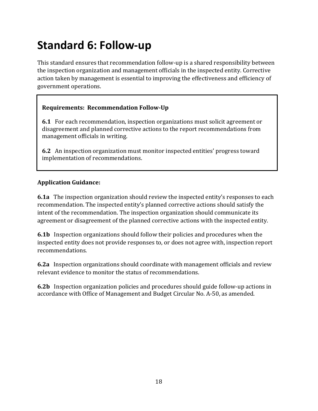### <span id="page-20-0"></span>**Standard 6: Follow-up**

This standard ensures that recommendation follow-up is a shared responsibility between the inspection organization and management officials in the inspected entity. Corrective action taken by management is essential to improving the effectiveness and efficiency of government operations.

#### **Requirements: Recommendation Follow-Up**

**6.1** For each recommendation, inspection organizations must solicit agreement or disagreement and planned corrective actions to the report recommendations from management officials in writing.

**6.2** An inspection organization must monitor inspected entities' progress toward implementation of recommendations.

#### **Application Guidance:**

**6.1a** The inspection organization should review the inspected entity's responses to each recommendation. The inspected entity's planned corrective actions should satisfy the intent of the recommendation. The inspection organization should communicate its agreement or disagreement of the planned corrective actions with the inspected entity.

**6.1b** Inspection organizations should follow their policies and procedures when the inspected entity does not provide responses to, or does not agree with, inspection report recommendations.

**6.2a** Inspection organizations should coordinate with management officials and review relevant evidence to monitor the status of recommendations.

**6.2b** Inspection organization policies and procedures should guide follow-up actions in accordance with Office of Management and Budget Circular No. A-50, as amended.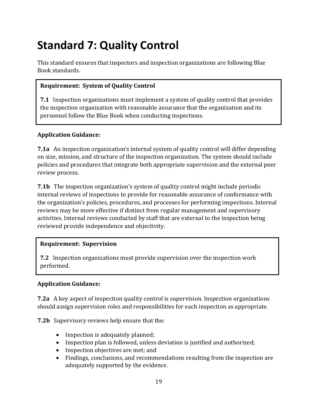### <span id="page-21-0"></span>**Standard 7: Quality Control**

This standard ensures that inspectors and inspection organizations are following Blue Book standards.

#### **Requirement: System of Quality Control**

**7.1** Inspection organizations must implement a system of quality control that provides the inspection organization with reasonable assurance that the organization and its personnel follow the Blue Book when conducting inspections.

#### **Application Guidance:**

**7.1a** An inspection organization's internal system of quality control will differ depending on size, mission, and structure of the inspection organization. The system should include policies and procedures that integrate both appropriate supervision and the external peer review process.

**7.1b** The inspection organization's system of quality control might include periodic internal reviews of inspections to provide for reasonable assurance of conformance with the organization's policies, procedures, and processes for performing inspections. Internal reviews may be more effective if distinct from regular management and supervisory activities. Internal reviews conducted by staff that are external to the inspection being reviewed provide independence and objectivity.

#### **Requirement: Supervision**

**7.2** Inspection organizations must provide supervision over the inspection work performed.

#### **Application Guidance:**

**7.2a** A key aspect of inspection quality control is supervision. Inspection organizations should assign supervision roles and responsibilities for each inspection as appropriate.

**7.2b** Supervisory reviews help ensure that the:

- Inspection is adequately planned;
- Inspection plan is followed, unless deviation is justified and authorized;
- Inspection objectives are met; and
- Findings, conclusions, and recommendations resulting from the inspection are adequately supported by the evidence.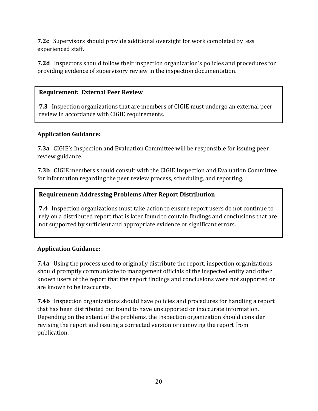**7.2c** Supervisors should provide additional oversight for work completed by less experienced staff.

**7.2d** Inspectors should follow their inspection organization's policies and procedures for providing evidence of supervisory review in the inspection documentation.

#### **Requirement: External Peer Review**

**7.3** Inspection organizations that are members of CIGIE must undergo an external peer review in accordance with CIGIE requirements.

#### **Application Guidance:**

**7.3a** CIGIE's Inspection and Evaluation Committee will be responsible for issuing peer review guidance.

**7.3b** CIGIE members should consult with the CIGIE Inspection and Evaluation Committee for information regarding the peer review process, scheduling, and reporting.

#### **Requirement: Addressing Problems After Report Distribution**

**7.4** Inspection organizations must take action to ensure report users do not continue to rely on a distributed report that is later found to contain findings and conclusions that are not supported by sufficient and appropriate evidence or significant errors.

#### **Application Guidance:**

**7.4a** Using the process used to originally distribute the report, inspection organizations should promptly communicate to management officials of the inspected entity and other known users of the report that the report findings and conclusions were not supported or are known to be inaccurate.

**7.4b** Inspection organizations should have policies and procedures for handling a report that has been distributed but found to have unsupported or inaccurate information. Depending on the extent of the problems, the inspection organization should consider revising the report and issuing a corrected version or removing the report from publication.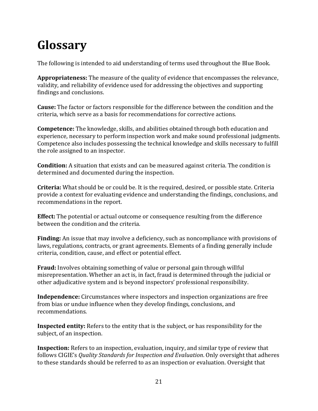# **Glossary**

The following is intended to aid understanding of terms used throughout the Blue Book.

**Appropriateness:** The measure of the quality of evidence that encompasses the relevance, validity, and reliability of evidence used for addressing the objectives and supporting findings and conclusions.

**Cause:** The factor or factors responsible for the difference between the condition and the criteria, which serve as a basis for recommendations for corrective actions.

**Competence:** The knowledge, skills, and abilities obtained through both education and experience, necessary to perform inspection work and make sound professional judgments. Competence also includes possessing the technical knowledge and skills necessary to fulfill the role assigned to an inspector.

**Condition:** A situation that exists and can be measured against criteria. The condition is determined and documented during the inspection.

**Criteria:** What should be or could be. It is the required, desired, or possible state. Criteria provide a context for evaluating evidence and understanding the findings, conclusions, and recommendations in the report.

**Effect:** The potential or actual outcome or consequence resulting from the difference between the condition and the criteria.

**Finding:** An issue that may involve a deficiency, such as noncompliance with provisions of laws, regulations, contracts, or grant agreements. Elements of a finding generally include criteria, condition, cause, and effect or potential effect.

**Fraud:** Involves obtaining something of value or personal gain through willful misrepresentation. Whether an act is, in fact, fraud is determined through the judicial or other adjudicative system and is beyond inspectors' professional responsibility.

**Independence:** Circumstances where inspectors and inspection organizations are free from bias or undue influence when they develop findings, conclusions, and recommendations.

**Inspected entity:** Refers to the entity that is the subject, or has responsibility for the subject, of an inspection.

**Inspection:** Refers to an inspection, evaluation, inquiry, and similar type of review that follows CIGIE's *Quality Standards for Inspection and Evaluation*. Only oversight that adheres to these standards should be referred to as an inspection or evaluation. Oversight that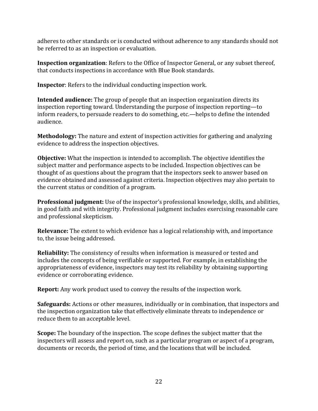adheres to other standards or is conducted without adherence to any standards should not be referred to as an inspection or evaluation.

**Inspection organization**: Refers to the Office of Inspector General, or any subset thereof, that conducts inspections in accordance with Blue Book standards.

**Inspector**: Refers to the individual conducting inspection work.

**Intended audience:** The group of people that an inspection organization directs its inspection reporting toward. Understanding the purpose of inspection reporting—to inform readers, to persuade readers to do something, etc.—helps to define the intended audience.

**Methodology:** The nature and extent of inspection activities for gathering and analyzing evidence to address the inspection objectives.

**Objective:** What the inspection is intended to accomplish. The objective identifies the subject matter and performance aspects to be included. Inspection objectives can be thought of as questions about the program that the inspectors seek to answer based on evidence obtained and assessed against criteria. Inspection objectives may also pertain to the current status or condition of a program.

**Professional judgment:** Use of the inspector's professional knowledge, skills, and abilities, in good faith and with integrity. Professional judgment includes exercising reasonable care and professional skepticism.

**Relevance:** The extent to which evidence has a logical relationship with, and importance to, the issue being addressed.

**Reliability:** The consistency of results when information is measured or tested and includes the concepts of being verifiable or supported. For example, in establishing the appropriateness of evidence, inspectors may test its reliability by obtaining supporting evidence or corroborating evidence.

**Report:** Any work product used to convey the results of the inspection work.

**Safeguards:** Actions or other measures, individually or in combination, that inspectors and the inspection organization take that effectively eliminate threats to independence or reduce them to an acceptable level.

**Scope:** The boundary of the inspection. The scope defines the subject matter that the inspectors will assess and report on, such as a particular program or aspect of a program, documents or records, the period of time, and the locations that will be included.